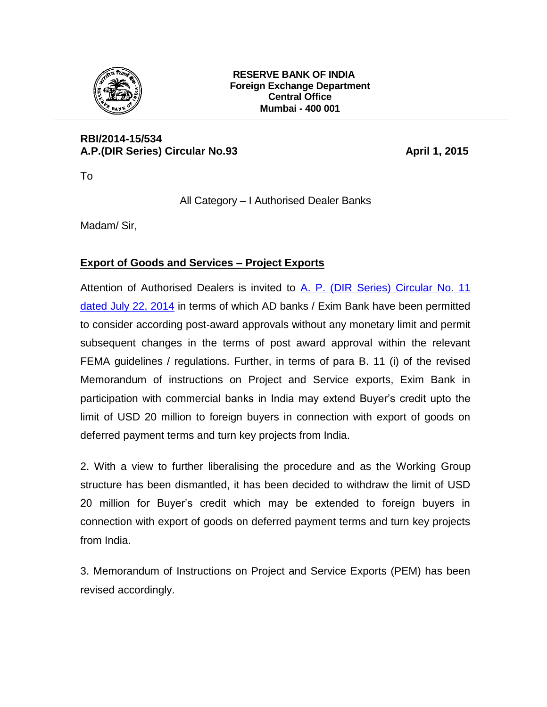

## **RESERVE BANK OF INDIA Foreign Exchange Department Central Office Mumbai - 400 001**

## **RBI/2014-15/534** A.P.(DIR Series) Circular No.93 **A.P.** April 1, 2015

To

All Category – I Authorised Dealer Banks

Madam/ Sir,

## **Export of Goods and Services – Project Exports**

Attention of Authorised Dealers is invited to A. P. (DIR Series) Circular No. 11 [dated July 22, 2014](http://www.rbi.org.in/scripts/NotificationUser.aspx?Id=9125&Mode=0) in terms of which AD banks / Exim Bank have been permitted to consider according post-award approvals without any monetary limit and permit subsequent changes in the terms of post award approval within the relevant FEMA guidelines / regulations. Further, in terms of para B. 11 (i) of the revised Memorandum of instructions on Project and Service exports, Exim Bank in participation with commercial banks in India may extend Buyer's credit upto the limit of USD 20 million to foreign buyers in connection with export of goods on deferred payment terms and turn key projects from India.

2. With a view to further liberalising the procedure and as the Working Group structure has been dismantled, it has been decided to withdraw the limit of USD 20 million for Buyer's credit which may be extended to foreign buyers in connection with export of goods on deferred payment terms and turn key projects from India.

3. Memorandum of Instructions on Project and Service Exports (PEM) has been revised accordingly.